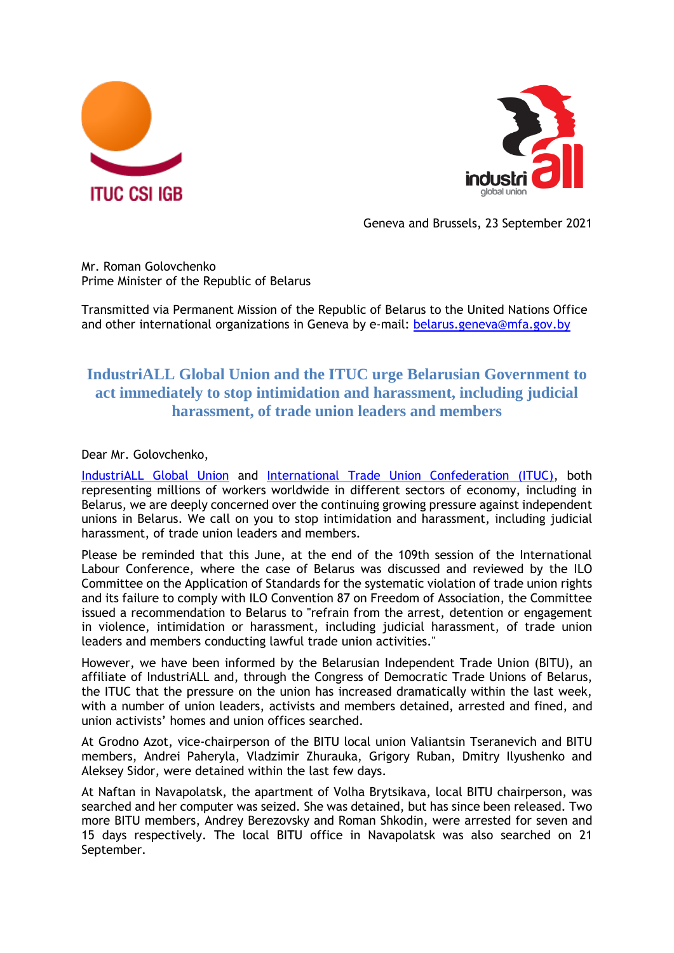



Geneva and Brussels, 23 September 2021

Mr. Roman Golovchenko Prime Minister of the Republic of Belarus

Transmitted via Permanent Mission of the Republic of Belarus to the United Nations Office and other international organizations in Geneva by e-mail: [belarus.geneva@mfa.gov.by](mailto:belarus.geneva@mfa.gov.by)

## **IndustriALL Global Union and the ITUC urge Belarusian Government to act immediately to stop intimidation and harassment, including judicial harassment, of trade union leaders and members**

Dear Mr. Golovchenko,

[IndustriALL Global Union](http://www.industriall-union.org/) and [International Trade Union Confederation \(ITUC\),](https://www.ituc-csi.org/?lang=en) both representing millions of workers worldwide in different sectors of economy, including in Belarus, we are deeply concerned over the continuing growing pressure against independent unions in Belarus. We call on you to stop intimidation and harassment, including judicial harassment, of trade union leaders and members.

Please be reminded that this June, at the end of the 109th session of the International Labour Conference, where the case of Belarus was discussed and reviewed by the ILO Committee on the Application of Standards for the systematic violation of trade union rights and its failure to comply with ILO Convention 87 on Freedom of Association, the Committee issued a recommendation to Belarus to "refrain from the arrest, detention or engagement in violence, intimidation or harassment, including judicial harassment, of trade union leaders and members conducting lawful trade union activities."

However, we have been informed by the Belarusian Independent Trade Union (BITU), an affiliate of IndustriALL and, through the Congress of Democratic Trade Unions of Belarus, the ITUC that the pressure on the union has increased dramatically within the last week, with a number of union leaders, activists and members detained, arrested and fined, and union activists' homes and union offices searched.

At Grodno Azot, vice-chairperson of the BITU local union Valiantsin Tseranevich and BITU members, Andrei Paheryla, Vladzimir Zhurauka, Grigory Ruban, Dmitry Ilyushenko and Aleksey Sidor, were detained within the last few days.

At Naftan in Navapolatsk, the apartment of Volha Brytsikava, local BITU chairperson, was searched and her computer was seized. She was detained, but has since been released. Two more BITU members, Andrey Berezovsky and Roman Shkodin, were arrested for seven and 15 days respectively. The local BITU office in Navapolatsk was also searched on 21 September.